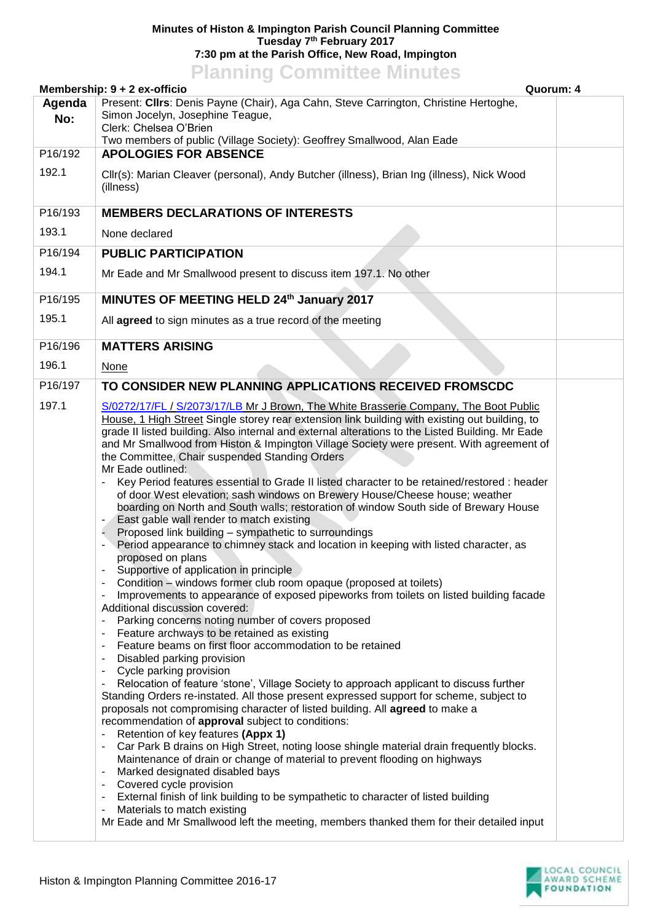## **Minutes of Histon & Impington Parish Council Planning Committee Tuesday 7 th February 2017 7:30 pm at the Parish Office, New Road, Impington**

## **Planning Committee Minutes**

|         | Membership: 9 + 2 ex-officio<br>Quorum: 4                                                                                |  |
|---------|--------------------------------------------------------------------------------------------------------------------------|--|
| Agenda  | Present: Cllrs: Denis Payne (Chair), Aga Cahn, Steve Carrington, Christine Hertoghe,                                     |  |
| No:     | Simon Jocelyn, Josephine Teague,<br>Clerk: Chelsea O'Brien                                                               |  |
|         | Two members of public (Village Society): Geoffrey Smallwood, Alan Eade                                                   |  |
| P16/192 | <b>APOLOGIES FOR ABSENCE</b>                                                                                             |  |
| 192.1   | Cllr(s): Marian Cleaver (personal), Andy Butcher (illness), Brian Ing (illness), Nick Wood                               |  |
|         | (illness)                                                                                                                |  |
|         |                                                                                                                          |  |
| P16/193 | <b>MEMBERS DECLARATIONS OF INTERESTS</b>                                                                                 |  |
| 193.1   | None declared                                                                                                            |  |
| P16/194 | <b>PUBLIC PARTICIPATION</b>                                                                                              |  |
| 194.1   | Mr Eade and Mr Smallwood present to discuss item 197.1. No other                                                         |  |
|         |                                                                                                                          |  |
| P16/195 | MINUTES OF MEETING HELD 24th January 2017                                                                                |  |
| 195.1   | All agreed to sign minutes as a true record of the meeting                                                               |  |
|         |                                                                                                                          |  |
| P16/196 | <b>MATTERS ARISING</b>                                                                                                   |  |
| 196.1   | <b>None</b>                                                                                                              |  |
| P16/197 | TO CONSIDER NEW PLANNING APPLICATIONS RECEIVED FROMSCDC                                                                  |  |
| 197.1   | S/0272/17/FL / S/2073/17/LB Mr J Brown, The White Brasserie Company, The Boot Public                                     |  |
|         | House, 1 High Street Single storey rear extension link building with existing out building, to                           |  |
|         | grade II listed building. Also internal and external alterations to the Listed Building. Mr Eade                         |  |
|         | and Mr Smallwood from Histon & Impington Village Society were present. With agreement of                                 |  |
|         | the Committee, Chair suspended Standing Orders<br>Mr Eade outlined:                                                      |  |
|         | Key Period features essential to Grade II listed character to be retained/restored : header                              |  |
|         | of door West elevation; sash windows on Brewery House/Cheese house; weather                                              |  |
|         | boarding on North and South walls; restoration of window South side of Brewary House                                     |  |
|         | East gable wall render to match existing<br>Proposed link building - sympathetic to surroundings                         |  |
|         | Period appearance to chimney stack and location in keeping with listed character, as                                     |  |
|         | proposed on plans                                                                                                        |  |
|         | Supportive of application in principle                                                                                   |  |
|         | Condition - windows former club room opaque (proposed at toilets)                                                        |  |
|         | Improvements to appearance of exposed pipeworks from toilets on listed building facade<br>Additional discussion covered: |  |
|         | Parking concerns noting number of covers proposed                                                                        |  |
|         | Feature archways to be retained as existing                                                                              |  |
|         | Feature beams on first floor accommodation to be retained                                                                |  |
|         | Disabled parking provision<br>Cycle parking provision                                                                    |  |
|         | Relocation of feature 'stone', Village Society to approach applicant to discuss further                                  |  |
|         | Standing Orders re-instated. All those present expressed support for scheme, subject to                                  |  |
|         | proposals not compromising character of listed building. All agreed to make a                                            |  |
|         | recommendation of approval subject to conditions:<br>Retention of key features (Appx 1)                                  |  |
|         | Car Park B drains on High Street, noting loose shingle material drain frequently blocks.                                 |  |
|         | Maintenance of drain or change of material to prevent flooding on highways                                               |  |
|         | Marked designated disabled bays                                                                                          |  |
|         | Covered cycle provision<br>External finish of link building to be sympathetic to character of listed building            |  |
|         | Materials to match existing                                                                                              |  |
|         | Mr Eade and Mr Smallwood left the meeting, members thanked them for their detailed input                                 |  |
|         |                                                                                                                          |  |

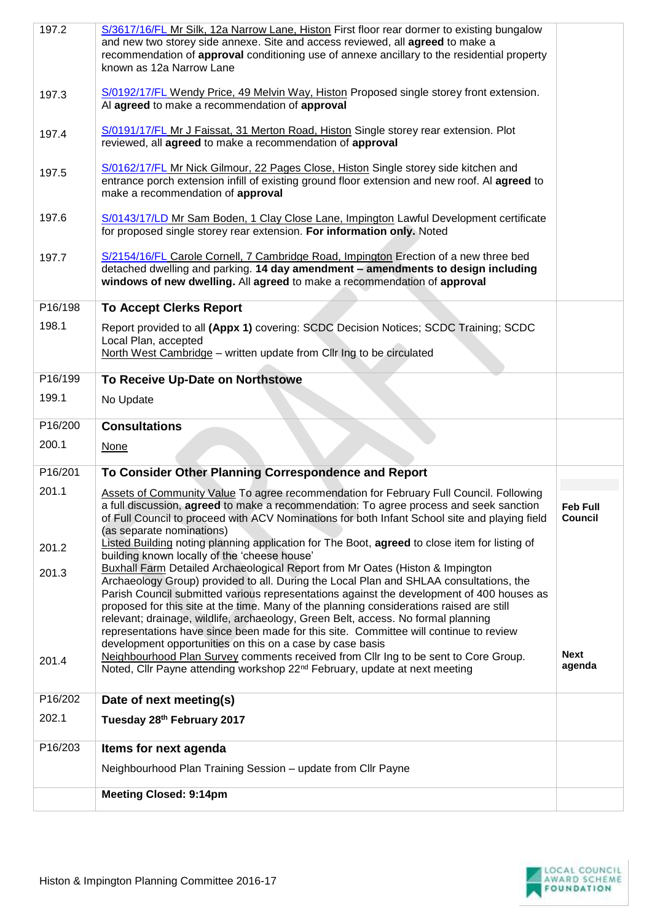| 197.2   | S/3617/16/FL Mr Silk, 12a Narrow Lane, Histon First floor rear dormer to existing bungalow<br>and new two storey side annexe. Site and access reviewed, all agreed to make a                                                                                                                                                                                                                                                                                                                                                                                                                   |                                   |
|---------|------------------------------------------------------------------------------------------------------------------------------------------------------------------------------------------------------------------------------------------------------------------------------------------------------------------------------------------------------------------------------------------------------------------------------------------------------------------------------------------------------------------------------------------------------------------------------------------------|-----------------------------------|
|         | recommendation of approval conditioning use of annexe ancillary to the residential property<br>known as 12a Narrow Lane                                                                                                                                                                                                                                                                                                                                                                                                                                                                        |                                   |
| 197.3   | S/0192/17/FL Wendy Price, 49 Melvin Way, Histon Proposed single storey front extension.<br>Al agreed to make a recommendation of approval                                                                                                                                                                                                                                                                                                                                                                                                                                                      |                                   |
| 197.4   | S/0191/17/FL Mr J Faissat, 31 Merton Road, Histon Single storey rear extension. Plot<br>reviewed, all agreed to make a recommendation of approval                                                                                                                                                                                                                                                                                                                                                                                                                                              |                                   |
| 197.5   | S/0162/17/FL Mr Nick Gilmour, 22 Pages Close, Histon Single storey side kitchen and<br>entrance porch extension infill of existing ground floor extension and new roof. Al agreed to<br>make a recommendation of approval                                                                                                                                                                                                                                                                                                                                                                      |                                   |
| 197.6   | S/0143/17/LD Mr Sam Boden, 1 Clay Close Lane, Impington Lawful Development certificate<br>for proposed single storey rear extension. For information only. Noted                                                                                                                                                                                                                                                                                                                                                                                                                               |                                   |
| 197.7   | S/2154/16/FL Carole Cornell, 7 Cambridge Road, Impington Erection of a new three bed<br>detached dwelling and parking. 14 day amendment - amendments to design including<br>windows of new dwelling. All agreed to make a recommendation of approval                                                                                                                                                                                                                                                                                                                                           |                                   |
| P16/198 | <b>To Accept Clerks Report</b>                                                                                                                                                                                                                                                                                                                                                                                                                                                                                                                                                                 |                                   |
| 198.1   | Report provided to all (Appx 1) covering: SCDC Decision Notices; SCDC Training; SCDC<br>Local Plan, accepted<br>North West Cambridge - written update from Cllr Ing to be circulated                                                                                                                                                                                                                                                                                                                                                                                                           |                                   |
| P16/199 | To Receive Up-Date on Northstowe                                                                                                                                                                                                                                                                                                                                                                                                                                                                                                                                                               |                                   |
| 199.1   | No Update                                                                                                                                                                                                                                                                                                                                                                                                                                                                                                                                                                                      |                                   |
|         |                                                                                                                                                                                                                                                                                                                                                                                                                                                                                                                                                                                                |                                   |
| P16/200 | <b>Consultations</b>                                                                                                                                                                                                                                                                                                                                                                                                                                                                                                                                                                           |                                   |
| 200.1   | <b>None</b>                                                                                                                                                                                                                                                                                                                                                                                                                                                                                                                                                                                    |                                   |
| P16/201 | To Consider Other Planning Correspondence and Report                                                                                                                                                                                                                                                                                                                                                                                                                                                                                                                                           |                                   |
| 201.1   | Assets of Community Value To agree recommendation for February Full Council. Following<br>a full discussion, agreed to make a recommendation: To agree process and seek sanction<br>of Full Council to proceed with ACV Nominations for both Infant School site and playing field<br>(as separate nominations)                                                                                                                                                                                                                                                                                 | <b>Feb Full</b><br><b>Council</b> |
| 201.2   | Listed Building noting planning application for The Boot, agreed to close item for listing of                                                                                                                                                                                                                                                                                                                                                                                                                                                                                                  |                                   |
| 201.3   | building known locally of the 'cheese house'<br>Buxhall Farm Detailed Archaeological Report from Mr Oates (Histon & Impington<br>Archaeology Group) provided to all. During the Local Plan and SHLAA consultations, the<br>Parish Council submitted various representations against the development of 400 houses as<br>proposed for this site at the time. Many of the planning considerations raised are still<br>relevant; drainage, wildlife, archaeology, Green Belt, access. No formal planning<br>representations have since been made for this site. Committee will continue to review |                                   |
| 201.4   | development opportunities on this on a case by case basis<br>Neighbourhood Plan Survey comments received from Cllr Ing to be sent to Core Group.<br>Noted, Cllr Payne attending workshop 22 <sup>nd</sup> February, update at next meeting                                                                                                                                                                                                                                                                                                                                                     | <b>Next</b><br>agenda             |
| P16/202 | Date of next meeting(s)                                                                                                                                                                                                                                                                                                                                                                                                                                                                                                                                                                        |                                   |
| 202.1   | Tuesday 28th February 2017                                                                                                                                                                                                                                                                                                                                                                                                                                                                                                                                                                     |                                   |
| P16/203 | Items for next agenda                                                                                                                                                                                                                                                                                                                                                                                                                                                                                                                                                                          |                                   |
|         | Neighbourhood Plan Training Session - update from Cllr Payne<br><b>Meeting Closed: 9:14pm</b>                                                                                                                                                                                                                                                                                                                                                                                                                                                                                                  |                                   |